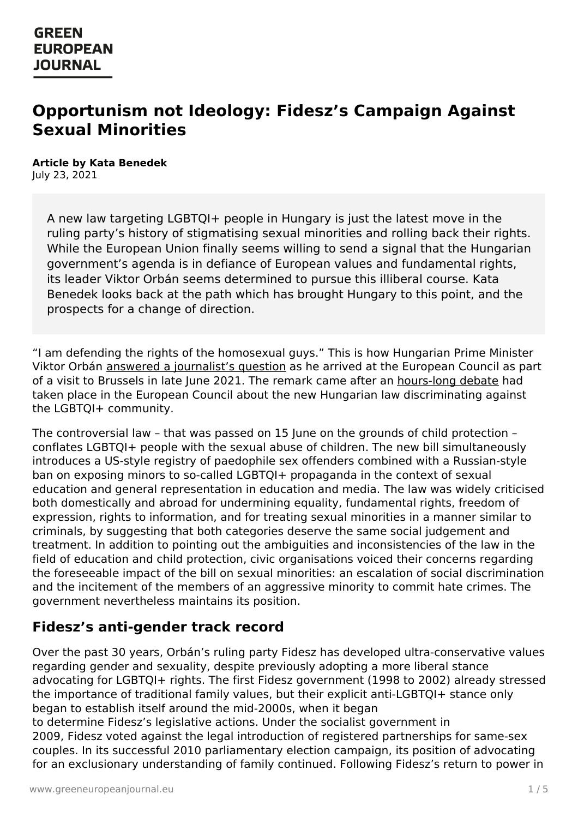# **Opportunism not Ideology: Fidesz's Campaign Against Sexual Minorities**

#### **Article by Kata Benedek** July 23, 2021

A new law targeting LGBTQI+ people in Hungary is just the latest move in the ruling party's history of stigmatising sexual minorities and rolling back their rights. While the European Union finally seems willing to send a signal that the Hungarian government's agenda is in defiance of European values and fundamental rights, its leader Viktor Orbán seems determined to pursue this illiberal course. Kata Benedek looks back at the path which has brought Hungary to this point, and the prospects for a change of direction.

"I am defending the rights of the homosexual guys." This is how Hungarian Prime Minister Viktor Orbán answered a [journalist's](https://audiovisual.ec.europa.eu/en/video/I-207618?lg=INT) question as he arrived at the European Council as part of a visit to Brussels in late June 2021. The remark came after an [hours-long](https://www.consilium.europa.eu/en/meetings/european-council/2021/06/24-25/) debate had taken place in the European Council about the new Hungarian law discriminating against the LGBTQI+ community.

The controversial law – that was passed on 15 June on the grounds of child protection – conflates LGBTQI+ people with the sexual abuse of children. The new bill simultaneously introduces a US-style registry of paedophile sex offenders combined with a Russian-style ban on exposing minors to so-called LGBTQI+ propaganda in the context of sexual education and general representation in education and media. The law was widely criticised both domestically and abroad for undermining equality, fundamental rights, freedom of expression, rights to information, and for treating sexual minorities in a manner similar to criminals, by suggesting that both categories deserve the same social judgement and treatment. In addition to pointing out the ambiguities and inconsistencies of the law in the field of education and child protection, civic organisations voiced their concerns regarding the foreseeable impact of the bill on sexual minorities: an escalation of social discrimination and the incitement of the members of an aggressive minority to commit hate crimes. The government nevertheless maintains its position.

## **Fidesz's anti-gender track record**

Over the past 30 years, Orbán's ruling party Fidesz has developed ultra-conservative values regarding gender and sexuality, despite previously adopting a more liberal stance [advocating](https://www.greeneuropeanjournal.eu) for LGBTQI+ rights. The first Fidesz government (1998 to 2002) already stressed the importance of traditional family values, but their explicit anti-LGBTQI+ stance only began to establish itself around the mid-2000s, when it began to determine Fidesz's legislative actions. Under the socialist government in 2009, Fidesz voted against the legal introduction of registered partnerships for same-sex couples. In its successful 2010 parliamentary election campaign, its position of advocating for an exclusionary understanding of family continued. Following Fidesz's return to power in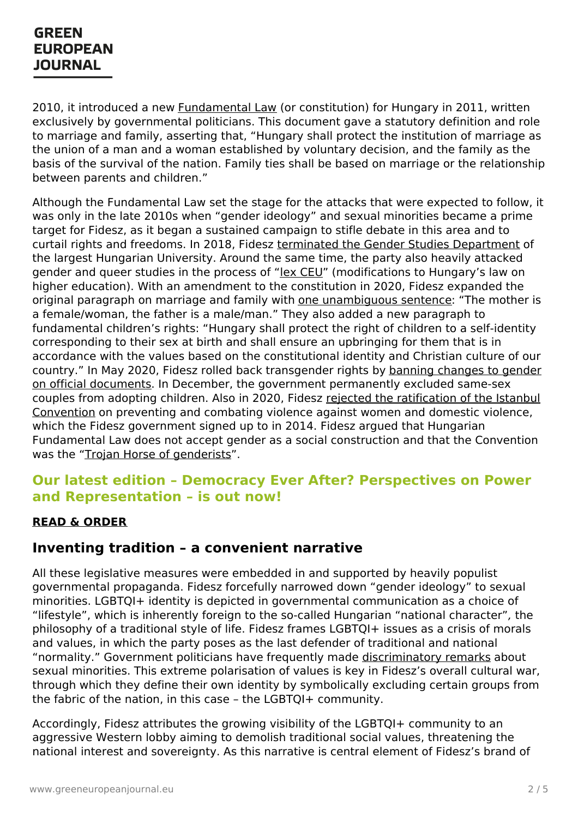2010, it introduced a new **[Fundamental](https://www.parlament.hu/documents/125505/138409/Fundamental+law/73811993-c377-428d-9808-ee03d6fb8178) Law** (or constitution) for Hungary in 2011, written exclusively by governmental politicians. This document gave a statutory definition and role to marriage and family, asserting that, "Hungary shall protect the institution of marriage as the union of a man and a woman established by voluntary decision, and the family as the basis of the survival of the nation. Family ties shall be based on marriage or the relationship between parents and children."

Although the Fundamental Law set the stage for the attacks that were expected to follow, it was only in the late 2010s when "gender ideology" and sexual minorities became a prime target for Fidesz, as it began a sustained campaign to stifle debate in this area and to curtail rights and freedoms. In 2018, Fidesz terminated the Gender Studies [Department](https://www.independent.co.uk/news/world/europe/hungary-bans-gender-studies-programmes-viktor-orban-central-european-university-budapest-a8599796.html) of the largest Hungarian University. Around the same time, the party also heavily attacked gender and queer studies in the process of "lex [CEU](https://budapestbeacon.com/lex-ceu-hungarian-governments-war-two-fronts/)" (modifications to Hungary's law on higher education). With an amendment to the constitution in 2020, Fidesz expanded the original paragraph on marriage and family with one [unambiguous](https://dailynewshungary.com/hungarian-lawmakers-adopt-9th-constitutional-amendment-mother-is-female-and-the-father-is-male/) sentence: "The mother is a female/woman, the father is a male/man." They also added a new paragraph to fundamental children's rights: "Hungary shall protect the right of children to a self-identity corresponding to their sex at birth and shall ensure an upbringing for them that is in accordance with the values based on the constitutional identity and Christian culture of our country." In May 2020, Fidesz rolled back transgender rights by banning changes to gender on official documents. In December, the government [permanently](https://www.bbc.co.uk/news/world-europe-52727615) excluded same-sex couples from adopting children. Also in 2020, Fidesz rejected the [ratification](https://www.theguardian.com/world/2020/may/05/hungarys-parliament-blocks-domestic-violence-treaty) of the Istanbul Convention on preventing and combating violence against women and domestic violence, which the Fidesz government signed up to in 2014. Fidesz argued that Hungarian Fundamental Law does not accept gender as a social construction and that the Convention was the "Trojan Horse of [genderists](https://www.xxiszazadintezet.hu/isztambuli-egyezmeny-a-genderelmelet-trojai-falova/)".

### **Our latest edition – Democracy Ever After? Perspectives on Power and Representation – is out now!**

#### **READ & [ORDER](https://www.greeneuropeanjournal.eu/edition/democracy-ever-after-perspectives-on-power-and-representation/)**

### **Inventing tradition – a convenient narrative**

All these legislative measures were embedded in and supported by heavily populist governmental propaganda. Fidesz forcefully narrowed down "gender ideology" to sexual minorities. LGBTQI+ identity is depicted in governmental communication as a choice of "lifestyle", which is inherently foreign to the so-called Hungarian "national character", the philosophy of a traditional style of life. Fidesz frames LGBTQI+ issues as a crisis of morals and values, in which the party poses as the last defender of traditional and national "normality." Government politicians have frequently made [discriminatory](https://index.hu/belfold/2019/05/15/kover_laszlo_forum_normalis_homoszexualisok_pedofilia/) remarks about sexual minorities. This extreme polarisation of values is key in Fidesz's overall cultural war, [through](https://www.greeneuropeanjournal.eu) which they define their own identity by symbolically excluding certain groups from the fabric of the nation, in this case - the LGBTQI+ community.

Accordingly, Fidesz attributes the growing visibility of the LGBTQI+ community to an aggressive Western lobby aiming to demolish traditional social values, threatening the national interest and sovereignty. As this narrative is central element of Fidesz's brand of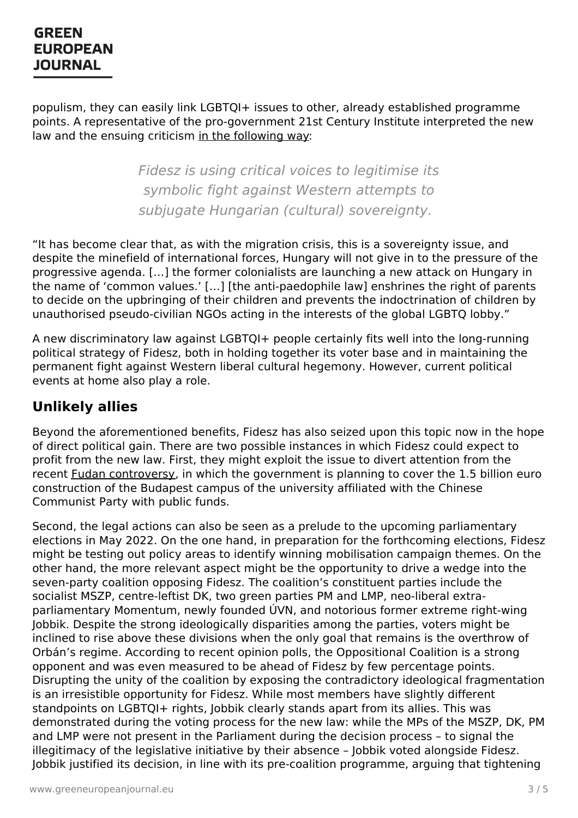populism, they can easily link LGBTQI+ issues to other, already established programme points. A representative of the pro-government 21st Century Institute interpreted the new law and the ensuing criticism in the [following](https://www.xxiszazadintezet.hu/a-pedofilellenes-torveny-szuverenitaskerdes/) way:

> Fidesz is using critical voices to legitimise its symbolic fight against Western attempts to subjugate Hungarian (cultural) sovereignty.

"It has become clear that, as with the migration crisis, this is a sovereignty issue, and despite the minefield of international forces, Hungary will not give in to the pressure of the progressive agenda. […] the former colonialists are launching a new attack on Hungary in the name of 'common values.' [...] [the anti-paedophile law] enshrines the right of parents to decide on the upbringing of their children and prevents the indoctrination of children by unauthorised pseudo-civilian NGOs acting in the interests of the global LGBTQ lobby."

A new discriminatory law against LGBTQI+ people certainly fits well into the long-running political strategy of Fidesz, both in holding together its voter base and in maintaining the permanent fight against Western liberal cultural hegemony. However, current political events at home also play a role.

### **Unlikely allies**

Beyond the aforementioned benefits, Fidesz has also seized upon this topic now in the hope of direct political gain. There are two possible instances in which Fidesz could expect to profit from the new law. First, they might exploit the issue to divert attention from the recent Fudan [controversy](https://www.bloomberg.com/news/articles/2021-06-05/thousands-protest-in-budapest-against-chinese-university-campus), in which the government is planning to cover the 1.5 billion euro construction of the Budapest campus of the university affiliated with the Chinese Communist Party with public funds.

Second, the legal actions can also be seen as a prelude to the upcoming parliamentary elections in May 2022. On the one hand, in preparation for the forthcoming elections, Fidesz might be testing out policy areas to identify winning mobilisation campaign themes. On the other hand, the more relevant aspect might be the opportunity to drive a wedge into the seven-party coalition opposing Fidesz. The coalition's constituent parties include the socialist MSZP, centre-leftist DK, two green parties PM and LMP, neo-liberal extraparliamentary Momentum, newly founded ÚVN, and notorious former extreme right-wing Jobbik. Despite the strong ideologically disparities among the parties, voters might be inclined to rise above these divisions when the only goal that remains is the overthrow of Orbán's regime. According to recent opinion polls, the Oppositional Coalition is a strong opponent and was even measured to be ahead of Fidesz by few percentage points. [Disrupting](https://www.greeneuropeanjournal.eu) the unity of the coalition by exposing the contradictory ideological fragmentation is an irresistible opportunity for Fidesz. While most members have slightly different standpoints on LGBTQI+ rights, Jobbik clearly stands apart from its allies. This was demonstrated during the voting process for the new law: while the MPs of the MSZP, DK, PM and LMP were not present in the Parliament during the decision process – to signal the illegitimacy of the legislative initiative by their absence – Jobbik voted alongside Fidesz. Jobbik justified its decision, in line with its pre-coalition programme, arguing that tightening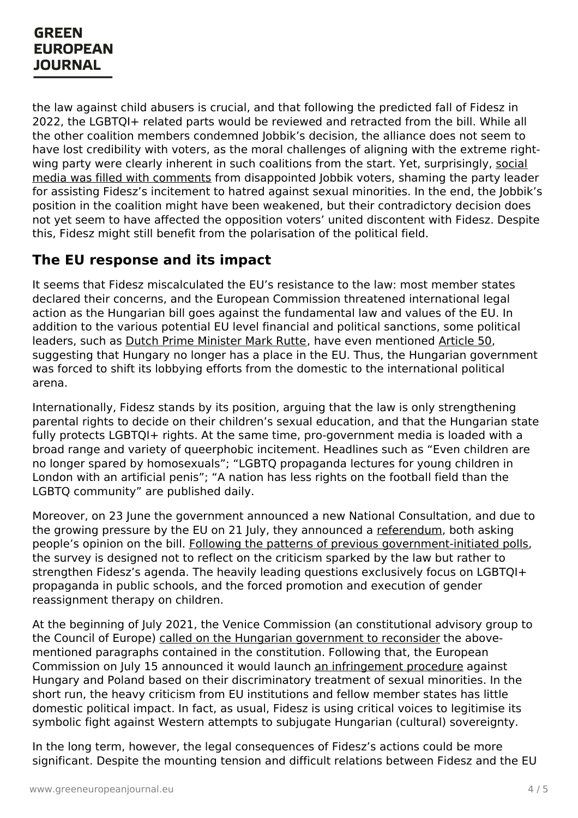the law against child abusers is crucial, and that following the predicted fall of Fidesz in 2022, the LGBTQI+ related parts would be reviewed and retracted from the bill. While all the other coalition members condemned Jobbik's decision, the alliance does not seem to have lost credibility with voters, as the moral challenges of aligning with the extreme rightwing party were clearly inherent in such coalitions from the start. Yet, surprisingly, social media was filled with comments from [disappointed](https://www.facebook.com/781150971947219/posts/4413887615340185/) Jobbik voters, shaming the party leader for assisting Fidesz's incitement to hatred against sexual minorities. In the end, the Jobbik's position in the coalition might have been weakened, but their contradictory decision does not yet seem to have affected the opposition voters' united discontent with Fidesz. Despite this, Fidesz might still benefit from the polarisation of the political field.

### **The EU response and its impact**

It seems that Fidesz miscalculated the EU's resistance to the law: most member states declared their concerns, and the European Commission threatened international legal action as the Hungarian bill goes against the fundamental law and values of the EU. In addition to the various potential EU level financial and political sanctions, some political leaders, such as Dutch Prime [Minister](https://netherlandsnewslive.com/annoyed-reaction-hungary-after-hexit-suggestion-rutte/184232/) Mark Rutte, have even mentioned [Article](https://eur-lex.europa.eu/legal-content/EN/TXT/?uri=CELEX:12016M/TXT) 50, suggesting that Hungary no longer has a place in the EU. Thus, the Hungarian government was forced to shift its lobbying efforts from the domestic to the international political arena.

Internationally, Fidesz stands by its position, arguing that the law is only strengthening parental rights to decide on their children's sexual education, and that the Hungarian state fully protects LGBTOI+ rights. At the same time, pro-government media is loaded with a broad range and variety of queerphobic incitement. Headlines such as "Even children are no longer spared by homosexuals"; "LGBTQ propaganda lectures for young children in London with an artificial penis"; "A nation has less rights on the football field than the LGBTQ community" are published daily.

Moreover, on 23 June the government announced a new National Consultation, and due to the growing pressure by the EU on 21 July, they announced a [referendum](https://www.reuters.com/world/hungarys-pm-call-referendum-child-protection-issues-2021-07-21/), both asking people's opinion on the bill. Following the patterns of previous [government-initiated](https://www.greeneuropeanjournal.eu/referendums-in-hungary-confirmation-bias/) polls, the survey is designed not to reflect on the criticism sparked by the law but rather to strengthen Fidesz's agenda. The heavily leading questions exclusively focus on LGBTQI+ propaganda in public schools, and the forced promotion and execution of gender reassignment therapy on children.

At the beginning of July 2021, the Venice Commission (an constitutional advisory group to the Council of Europe) called on the Hungarian [government](https://apnews.com/article/hungary-europe-government-and-politics-2d32ed627784ca8a22faa4e8c149f9f0) to reconsider the abovementioned paragraphs contained in the constitution. Following that, the European Commission on July 15 announced it would launch an [infringement](https://ec.europa.eu/commission/presscorner/detail/en/ip_21_3668) procedure against [Hungary](https://www.greeneuropeanjournal.eu) and Poland based on their discriminatory treatment of sexual minorities. In the short run, the heavy criticism from EU institutions and fellow member states has little domestic political impact. In fact, as usual, Fidesz is using critical voices to legitimise its symbolic fight against Western attempts to subjugate Hungarian (cultural) sovereignty.

In the long term, however, the legal consequences of Fidesz's actions could be more significant. Despite the mounting tension and difficult relations between Fidesz and the EU